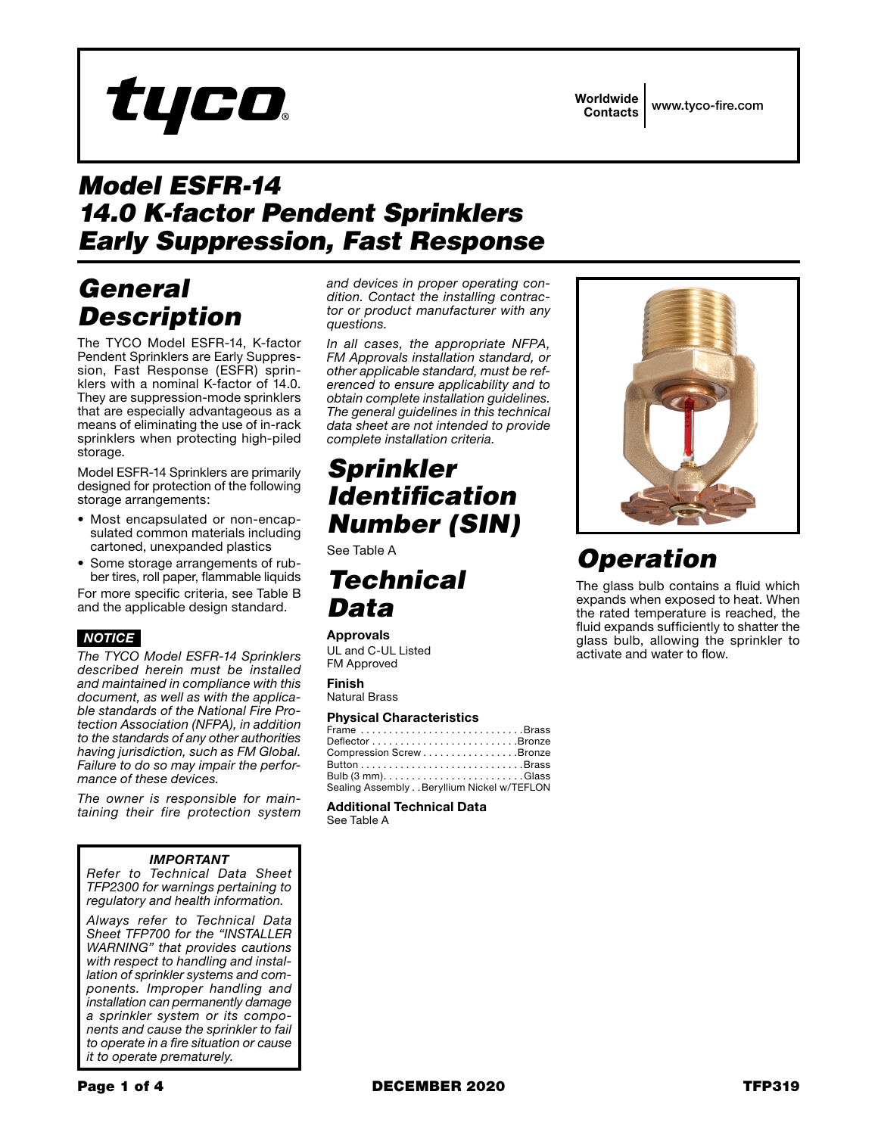Worldwide Contacts www.tyco-fire.com

# *Model ESFR-14 14.0 K-factor Pendent Sprinklers Early Suppression, Fast Response*

# *General Description*

The TYCO Model ESFR-14, K-factor Pendent Sprinklers are Early Suppression, Fast Response (ESFR) sprinklers with a nominal K-factor of 14.0. They are suppression-mode sprinklers that are especially advantageous as a means of eliminating the use of in-rack sprinklers when protecting high-piled storage.

Model ESFR-14 Sprinklers are primarily designed for protection of the following storage arrangements:

- Most encapsulated or non-encapsulated common materials including cartoned, unexpanded plastics
- Some storage arrangements of rubber tires, roll paper, flammable liquids

For more specific criteria, see Table B and the applicable design standard.

### *NOTICE*

*The TYCO Model ESFR-14 Sprinklers described herein must be installed and maintained in compliance with this document, as well as with the applicable standards of the National Fire Protection Association (NFPA), in addition to the standards of any other authorities having jurisdiction, such as FM Global. Failure to do so may impair the performance of these devices.*

*The owner is responsible for maintaining their fire protection system* 

### *IMPORTANT*

*Refer to Technical Data Sheet TFP2300 for warnings pertaining to regulatory and health information.*

*Always refer to Technical Data Sheet TFP700 for the "INSTALLER WARNING" that provides cautions with respect to handling and installation of sprinkler systems and components. Improper handling and installation can permanently damage a sprinkler system or its components and cause the sprinkler to fail to operate in a fire situation or cause it to operate prematurely.*

*and devices in proper operating condition. Contact the installing contractor or product manufacturer with any questions.*

*In all cases, the appropriate NFPA, FM Approvals installation standard, or other applicable standard, must be referenced to ensure applicability and to obtain complete installation guidelines. The general guidelines in this technical data sheet are not intended to provide complete installation criteria.*

# *Sprinkler Identification Number (SIN)*

See Table A

## *Technical Data*

#### Approvals

UL and C-UL Listed FM Approved

Finish Natural Brass

### Physical Characteristics

Additional Technical Data See Table A



# *Operation*

The glass bulb contains a fluid which expands when exposed to heat. When the rated temperature is reached, the fluid expands sufficiently to shatter the glass bulb, allowing the sprinkler to activate and water to flow.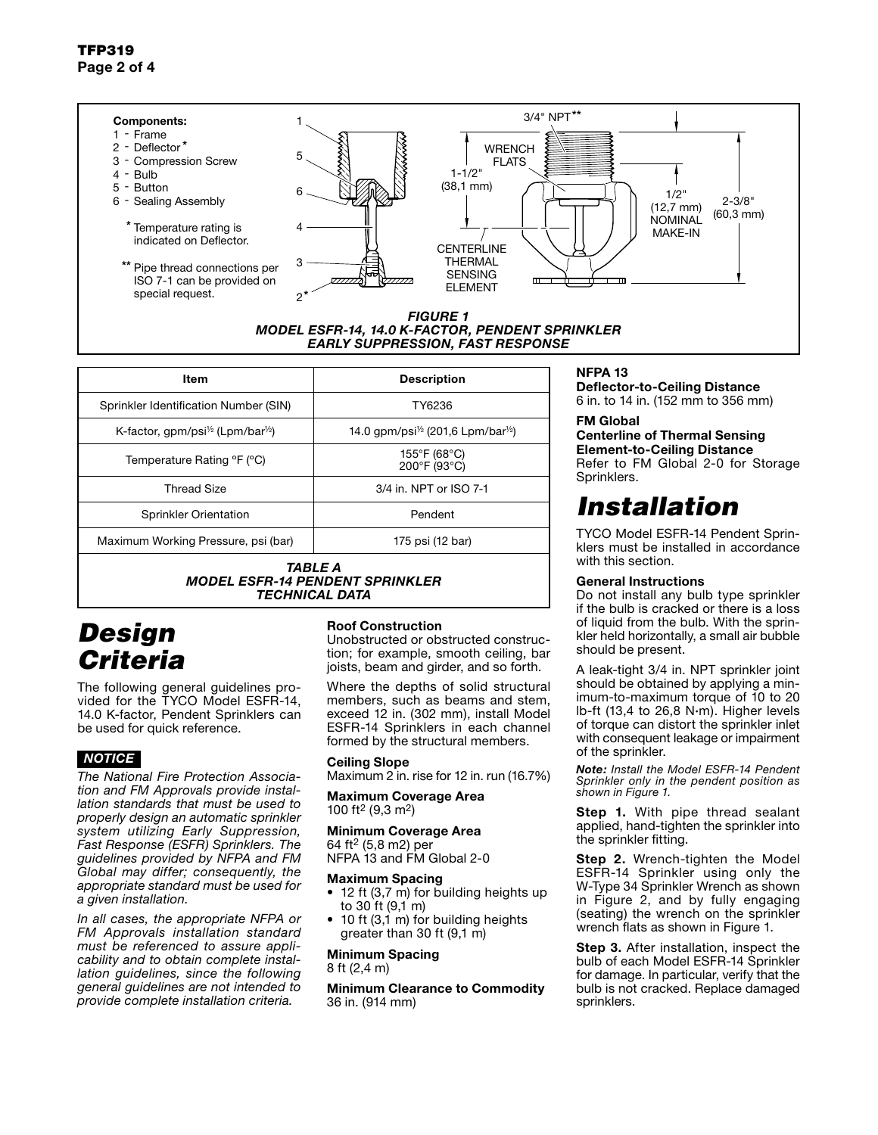#### \*\* 3/4" NPT Components: 1 1 - Frame 2 - Deflector\* **WRENCH** 5 3 - Compression Screw FLATS  $1 - 1/2$ 4 - Bulb (38,1 mm) 5 - Button 6 1/2" 6 - Sealing Assembly 2-3/8" (12,7 mm) (60,3 mm) **NOMINAL** \* Temperature rating is 4 MAKE-IN indicated on Deflector. CENTERLINE THERMAL 3 \*\* Pipe thread connections per SENSING ISO 7-1 can be provided on  $\bigtriangledown$  $\blacksquare$  $\overline{\phantom{0}}$ ELEMENT special request. \* 2 *FIGURE 1 MODEL ESFR-14, 14.0 K-FACTOR, PENDENT SPRINKLER EARLY SUPPRESSION, FAST RESPONSE*

| ltem                                                                                                 | <b>Description</b>                                          |  |
|------------------------------------------------------------------------------------------------------|-------------------------------------------------------------|--|
| Sprinkler Identification Number (SIN)                                                                | TY6236                                                      |  |
| K-factor, gpm/psi <sup><math>\frac{1}{2}</math></sup> (Lpm/bar <sup><math>\frac{1}{2}</math></sup> ) | 14.0 qpm/psi <sup>1/2</sup> (201.6 Lpm/bar <sup>1/2</sup> ) |  |
| Temperature Rating °F (°C)                                                                           | 155°F (68°C)<br>200°F (93°C)                                |  |
| <b>Thread Size</b>                                                                                   | 3/4 in, NPT or ISO 7-1                                      |  |
| Sprinkler Orientation                                                                                | Pendent                                                     |  |
| Maximum Working Pressure, psi (bar)                                                                  | 175 psi (12 bar)                                            |  |
| TABLE A<br><i>MODEL ESFR-14 PENDENT SPRINKLER</i>                                                    |                                                             |  |

*TECHNICAL DATA*

# *Design Criteria*

The following general guidelines provided for the TYCO Model ESFR-14, 14.0 K-factor, Pendent Sprinklers can be used for quick reference.

### *NOTICE*

*The National Fire Protection Association and FM Approvals provide installation standards that must be used to properly design an automatic sprinkler system utilizing Early Suppression, Fast Response (ESFR) Sprinklers. The guidelines provided by NFPA and FM Global may differ; consequently, the appropriate standard must be used for a given installation.*

*In all cases, the appropriate NFPA or FM Approvals installation standard must be referenced to assure applicability and to obtain complete installation guidelines, since the following general guidelines are not intended to provide complete installation criteria.*

### Roof Construction

Unobstructed or obstructed construction; for example, smooth ceiling, bar joists, beam and girder, and so forth.

Where the depths of solid structural members, such as beams and stem, exceed 12 in. (302 mm), install Model ESFR-14 Sprinklers in each channel formed by the structural members.

### Ceiling Slope

Maximum 2 in. rise for 12 in. run (16.7%)

Maximum Coverage Area 100 ft2 (9,3 m2)

### Minimum Coverage Area

64 ft2 (5,8 m2) per NFPA 13 and FM Global 2-0

#### Maximum Spacing

- 12 ft (3,7 m) for building heights up to 30 ft (9,1 m)
- $\bullet$  10 ft (3,1 m) for building heights greater than 30 ft (9,1 m)

#### Minimum Spacing 8 ft (2,4 m)

Minimum Clearance to Commodity 36 in. (914 mm)

### NFPA 13

Deflector-to-Ceiling Distance 6 in. to 14 in. (152 mm to 356 mm)

### FM Global

Centerline of Thermal Sensing Element-to-Ceiling Distance Refer to FM Global 2-0 for Storage Sprinklers.

# *Installation*

TYCO Model ESFR-14 Pendent Sprinklers must be installed in accordance with this section.

### General Instructions

Do not install any bulb type sprinkler if the bulb is cracked or there is a loss of liquid from the bulb. With the sprinkler held horizontally, a small air bubble should be present.

A leak-tight 3/4 in. NPT sprinkler joint should be obtained by applying a minimum-to-maximum torque of 10 to 20 lb-ft (13,4 to 26,8 N∙m). Higher levels of torque can distort the sprinkler inlet with consequent leakage or impairment of the sprinkler.

*Note: Install the Model ESFR-14 Pendent Sprinkler only in the pendent position as shown in Figure 1.*

**Step 1.** With pipe thread sealant applied, hand-tighten the sprinkler into the sprinkler fitting.

**Step 2.** Wrench-tighten the Model ESFR-14 Sprinkler using only the W-Type 34 Sprinkler Wrench as shown in Figure 2, and by fully engaging (seating) the wrench on the sprinkler wrench flats as shown in Figure 1.

**Step 3.** After installation, inspect the bulb of each Model ESFR-14 Sprinkler for damage. In particular, verify that the bulb is not cracked. Replace damaged sprinklers.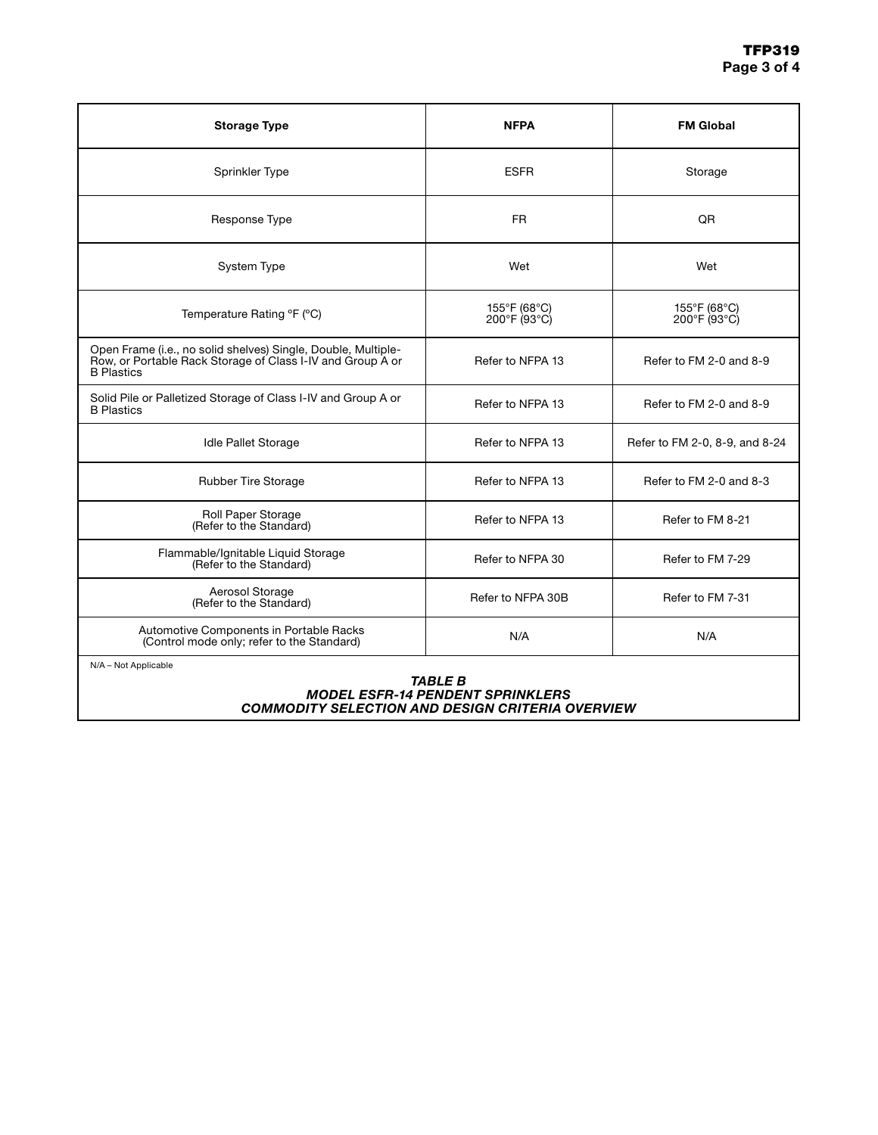| <b>Storage Type</b>                                                                                                                              | <b>NFPA</b>                  | <b>FM Global</b>               |
|--------------------------------------------------------------------------------------------------------------------------------------------------|------------------------------|--------------------------------|
| Sprinkler Type                                                                                                                                   | <b>ESFR</b>                  | Storage                        |
| Response Type                                                                                                                                    | <b>FR</b>                    | QR                             |
| System Type                                                                                                                                      | Wet                          | Wet                            |
| Temperature Rating °F (°C)                                                                                                                       | 155°F (68°C)<br>200°F (93°C) | 155°F (68°C)<br>200°F (93°C)   |
| Open Frame (i.e., no solid shelves) Single, Double, Multiple-<br>Row, or Portable Rack Storage of Class I-IV and Group A or<br><b>B</b> Plastics | Refer to NFPA 13             | Refer to FM 2-0 and 8-9        |
| Solid Pile or Palletized Storage of Class I-IV and Group A or<br><b>B</b> Plastics                                                               | Refer to NFPA 13             | Refer to FM 2-0 and 8-9        |
| <b>Idle Pallet Storage</b>                                                                                                                       | Refer to NFPA 13             | Refer to FM 2-0, 8-9, and 8-24 |
| Rubber Tire Storage                                                                                                                              | Refer to NFPA 13             | Refer to FM 2-0 and 8-3        |
| Roll Paper Storage<br>(Refer to the Standard)                                                                                                    | Refer to NFPA 13             | Refer to FM 8-21               |
| Flammable/Ignitable Liquid Storage<br>(Refer to the Standard)                                                                                    | Refer to NFPA 30             | Refer to FM 7-29               |
| Aerosol Storage<br>(Refer to the Standard)                                                                                                       | Refer to NFPA 30B            | Refer to FM 7-31               |
| Automotive Components in Portable Racks<br>(Control mode only; refer to the Standard)                                                            | N/A                          | N/A                            |
| N/A - Not Applicable                                                                                                                             |                              |                                |

#### *TABLE B MODEL ESFR-14 PENDENT SPRINKLERS COMMODITY SELECTION AND DESIGN CRITERIA OVERVIEW*